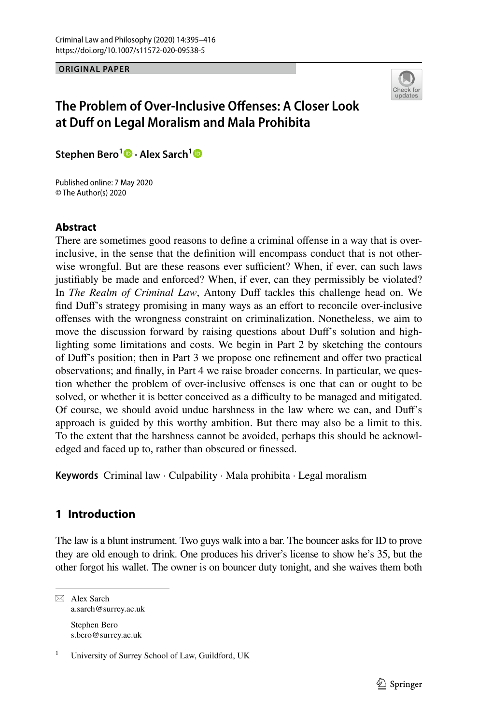**ORIGINAL PAPER**



# **The Problem of Over‑Inclusive Ofenses: A Closer Look at Duf on Legal Moralism and Mala Prohibita**

**Stephen Bero<sup>1</sup>  [·](https://orcid.org/0000-0002-9941-4806) Alex Sarch[1](https://orcid.org/0000-0001-5666-6731)**

Published online: 7 May 2020 © The Author(s) 2020

# **Abstract**

There are sometimes good reasons to defne a criminal ofense in a way that is overinclusive, in the sense that the defnition will encompass conduct that is not otherwise wrongful. But are these reasons ever sufficient? When, if ever, can such laws justifably be made and enforced? When, if ever, can they permissibly be violated? In *The Realm of Criminal Law*, Antony Duff tackles this challenge head on. We fnd Duf's strategy promising in many ways as an efort to reconcile over-inclusive ofenses with the wrongness constraint on criminalization. Nonetheless, we aim to move the discussion forward by raising questions about Duf's solution and highlighting some limitations and costs. We begin in Part 2 by sketching the contours of Duf's position; then in Part 3 we propose one refnement and ofer two practical observations; and fnally, in Part 4 we raise broader concerns. In particular, we question whether the problem of over-inclusive offenses is one that can or ought to be solved, or whether it is better conceived as a difficulty to be managed and mitigated. Of course, we should avoid undue harshness in the law where we can, and Duf's approach is guided by this worthy ambition. But there may also be a limit to this. To the extent that the harshness cannot be avoided, perhaps this should be acknowledged and faced up to, rather than obscured or fnessed.

**Keywords** Criminal law · Culpability · Mala prohibita · Legal moralism

# **1 Introduction**

The law is a blunt instrument. Two guys walk into a bar. The bouncer asks for ID to prove they are old enough to drink. One produces his driver's license to show he's 35, but the other forgot his wallet. The owner is on bouncer duty tonight, and she waives them both

 $\boxtimes$  Alex Sarch a.sarch@surrey.ac.uk Stephen Bero s.bero@surrey.ac.uk

<sup>1</sup> University of Surrey School of Law, Guildford, UK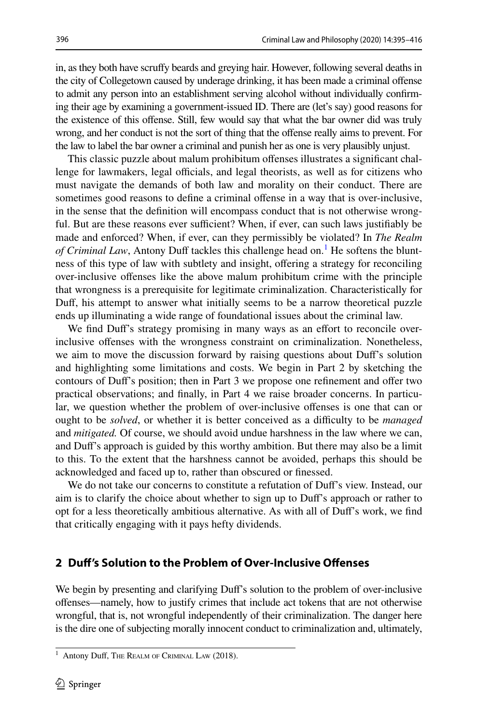in, as they both have scrufy beards and greying hair. However, following several deaths in the city of Collegetown caused by underage drinking, it has been made a criminal ofense to admit any person into an establishment serving alcohol without individually confrming their age by examining a government-issued ID. There are (let's say) good reasons for the existence of this offense. Still, few would say that what the bar owner did was truly wrong, and her conduct is not the sort of thing that the ofense really aims to prevent. For the law to label the bar owner a criminal and punish her as one is very plausibly unjust.

This classic puzzle about malum prohibitum ofenses illustrates a signifcant challenge for lawmakers, legal officials, and legal theorists, as well as for citizens who must navigate the demands of both law and morality on their conduct. There are sometimes good reasons to define a criminal offense in a way that is over-inclusive, in the sense that the defnition will encompass conduct that is not otherwise wrongful. But are these reasons ever sufficient? When, if ever, can such laws justifiably be made and enforced? When, if ever, can they permissibly be violated? In *The Realm*  of Criminal Law, Antony Duff tackles this challenge head on.<sup>[1](#page-1-0)</sup> He softens the bluntness of this type of law with subtlety and insight, ofering a strategy for reconciling over-inclusive ofenses like the above malum prohibitum crime with the principle that wrongness is a prerequisite for legitimate criminalization. Characteristically for Duf, his attempt to answer what initially seems to be a narrow theoretical puzzle ends up illuminating a wide range of foundational issues about the criminal law.

We find Duff's strategy promising in many ways as an effort to reconcile overinclusive ofenses with the wrongness constraint on criminalization. Nonetheless, we aim to move the discussion forward by raising questions about Duf's solution and highlighting some limitations and costs. We begin in Part 2 by sketching the contours of Duf's position; then in Part 3 we propose one refnement and ofer two practical observations; and fnally, in Part 4 we raise broader concerns. In particular, we question whether the problem of over-inclusive ofenses is one that can or ought to be *solved*, or whether it is better conceived as a difculty to be *managed* and *mitigated.* Of course, we should avoid undue harshness in the law where we can, and Duf's approach is guided by this worthy ambition. But there may also be a limit to this. To the extent that the harshness cannot be avoided, perhaps this should be acknowledged and faced up to, rather than obscured or fnessed.

We do not take our concerns to constitute a refutation of Duf's view. Instead, our aim is to clarify the choice about whether to sign up to Duf's approach or rather to opt for a less theoretically ambitious alternative. As with all of Duf's work, we fnd that critically engaging with it pays hefty dividends.

## **2 Duf's Solution to the Problem of Over‑Inclusive Ofenses**

We begin by presenting and clarifying Duff's solution to the problem of over-inclusive ofenses—namely, how to justify crimes that include act tokens that are not otherwise wrongful, that is, not wrongful independently of their criminalization. The danger here is the dire one of subjecting morally innocent conduct to criminalization and, ultimately,

<span id="page-1-0"></span><sup>&</sup>lt;sup>1</sup> Antony Duff, The REALM OF CRIMINAL LAW (2018).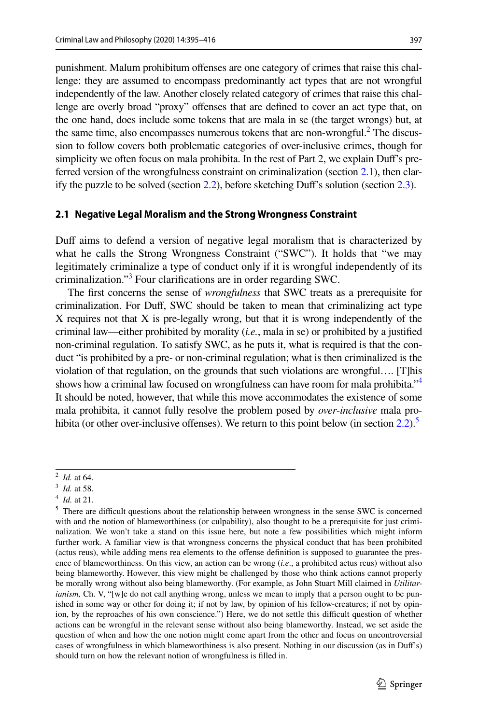punishment. Malum prohibitum ofenses are one category of crimes that raise this challenge: they are assumed to encompass predominantly act types that are not wrongful independently of the law. Another closely related category of crimes that raise this challenge are overly broad "proxy" ofenses that are defned to cover an act type that, on the one hand, does include some tokens that are mala in se (the target wrongs) but, at the same time, also encompasses numerous tokens that are non-wrongful. $^2$  The discussion to follow covers both problematic categories of over-inclusive crimes, though for simplicity we often focus on mala prohibita. In the rest of Part 2, we explain Duf's preferred version of the wrongfulness constraint on criminalization (section [2.1\)](#page-2-1), then clarify the puzzle to be solved (section  $2.2$ ), before sketching Duff's solution (section  $2.3$ ).

#### <span id="page-2-1"></span>**2.1 Negative Legal Moralism and the Strong Wrongness Constraint**

Duff aims to defend a version of negative legal moralism that is characterized by what he calls the Strong Wrongness Constraint ("SWC"). It holds that "we may legitimately criminalize a type of conduct only if it is wrongful independently of its criminalization.["3](#page-2-2) Four clarifcations are in order regarding SWC.

The frst concerns the sense of *wrongfulness* that SWC treats as a prerequisite for criminalization. For Duf, SWC should be taken to mean that criminalizing act type X requires not that X is pre-legally wrong, but that it is wrong independently of the criminal law—either prohibited by morality (*i.e.*, mala in se) or prohibited by a justifed non-criminal regulation. To satisfy SWC, as he puts it, what is required is that the conduct "is prohibited by a pre- or non-criminal regulation; what is then criminalized is the violation of that regulation, on the grounds that such violations are wrongful…. [T]his shows how a criminal law focused on wrongfulness can have room for mala prohibita."<sup>4</sup> It should be noted, however, that while this move accommodates the existence of some mala prohibita, it cannot fully resolve the problem posed by *over*-*inclusive* mala prohibita (or other over-inclusive offenses). We return to this point below (in section  $2.2$ ).<sup>5</sup>

<span id="page-2-0"></span><sup>2</sup> *Id.* at 64.

<span id="page-2-2"></span><sup>3</sup> *Id.* at 58.

<span id="page-2-3"></span><sup>4</sup> *Id.* at 21.

<span id="page-2-4"></span><sup>&</sup>lt;sup>5</sup> There are difficult questions about the relationship between wrongness in the sense SWC is concerned with and the notion of blameworthiness (or culpability), also thought to be a prerequisite for just criminalization. We won't take a stand on this issue here, but note a few possibilities which might inform further work. A familiar view is that wrongness concerns the physical conduct that has been prohibited (actus reus), while adding mens rea elements to the ofense defnition is supposed to guarantee the presence of blameworthiness. On this view, an action can be wrong (*i.e*., a prohibited actus reus) without also being blameworthy. However, this view might be challenged by those who think actions cannot properly be morally wrong without also being blameworthy. (For example, as John Stuart Mill claimed in *Utilitarianism*, Ch. V, "[w]e do not call anything wrong, unless we mean to imply that a person ought to be punished in some way or other for doing it; if not by law, by opinion of his fellow-creatures; if not by opinion, by the reproaches of his own conscience.") Here, we do not settle this difficult question of whether actions can be wrongful in the relevant sense without also being blameworthy. Instead, we set aside the question of when and how the one notion might come apart from the other and focus on uncontroversial cases of wrongfulness in which blameworthiness is also present. Nothing in our discussion (as in Duf's) should turn on how the relevant notion of wrongfulness is flled in.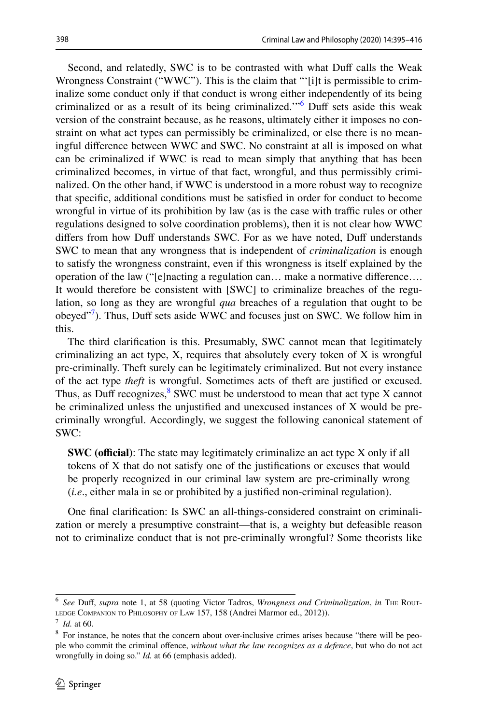Second, and relatedly, SWC is to be contrasted with what Duff calls the Weak Wrongness Constraint ("WWC"). This is the claim that "'[i]t is permissible to criminalize some conduct only if that conduct is wrong either independently of its being criminalized or as a result of its being criminalized."<sup>6</sup> Duff sets aside this weak version of the constraint because, as he reasons, ultimately either it imposes no constraint on what act types can permissibly be criminalized, or else there is no meaningful diference between WWC and SWC. No constraint at all is imposed on what can be criminalized if WWC is read to mean simply that anything that has been criminalized becomes, in virtue of that fact, wrongful, and thus permissibly criminalized. On the other hand, if WWC is understood in a more robust way to recognize that specifc, additional conditions must be satisfed in order for conduct to become wrongful in virtue of its prohibition by law (as is the case with traffic rules or other regulations designed to solve coordination problems), then it is not clear how WWC differs from how Duff understands SWC. For as we have noted, Duff understands SWC to mean that any wrongness that is independent of *criminalization* is enough to satisfy the wrongness constraint, even if this wrongness is itself explained by the operation of the law ("[e]nacting a regulation can… make a normative diference…. It would therefore be consistent with [SWC] to criminalize breaches of the regulation, so long as they are wrongful *qua* breaches of a regulation that ought to be obeyed"<sup>[7](#page-3-1)</sup>). Thus, Duff sets aside WWC and focuses just on SWC. We follow him in this.

The third clarifcation is this. Presumably, SWC cannot mean that legitimately criminalizing an act type, X, requires that absolutely every token of X is wrongful pre-criminally. Theft surely can be legitimately criminalized. But not every instance of the act type *theft* is wrongful. Sometimes acts of theft are justifed or excused. Thus, as Duff recognizes, $8$  SWC must be understood to mean that act type X cannot be criminalized unless the unjustifed and unexcused instances of X would be precriminally wrongful. Accordingly, we suggest the following canonical statement of SWC:

**SWC (official)**: The state may legitimately criminalize an act type X only if all tokens of X that do not satisfy one of the justifcations or excuses that would be properly recognized in our criminal law system are pre-criminally wrong (*i.e*., either mala in se or prohibited by a justifed non-criminal regulation).

One fnal clarifcation: Is SWC an all-things-considered constraint on criminalization or merely a presumptive constraint—that is, a weighty but defeasible reason not to criminalize conduct that is not pre-criminally wrongful? Some theorists like

<span id="page-3-0"></span><sup>6</sup> *See* Duf, *supra* note 1, at 58 (quoting Victor Tadros, *Wrongness and Criminalization*, *in* The Rout-LEDGE COMPANION TO PHILOSOPHY OF LAW 157, 158 (Andrei Marmor ed., 2012)).

<span id="page-3-1"></span><sup>7</sup> *Id.* at 60.

<span id="page-3-2"></span><sup>&</sup>lt;sup>8</sup> For instance, he notes that the concern about over-inclusive crimes arises because "there will be people who commit the criminal ofence, *without what the law recognizes as a defence*, but who do not act wrongfully in doing so." *Id.* at 66 (emphasis added).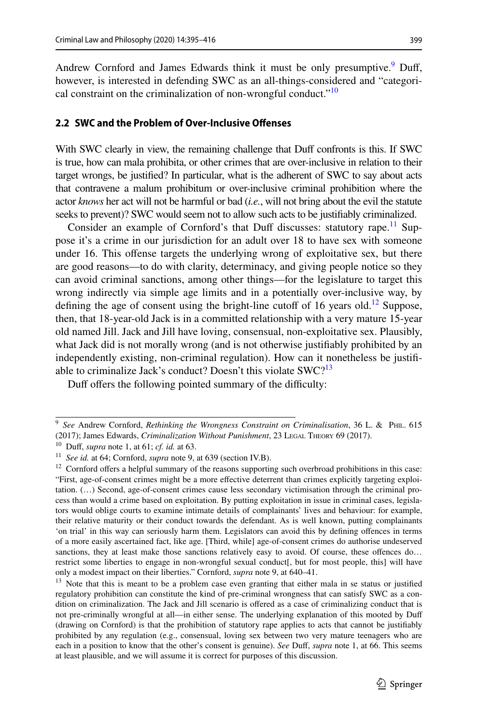Andrew Cornford and James Edwards think it must be only presumptive.<sup>[9](#page-4-1)</sup> Duff, however, is interested in defending SWC as an all-things-considered and "categorical constraint on the criminalization of non-wrongful conduct."<sup>10</sup>

#### <span id="page-4-0"></span>**2.2 SWC and the Problem of Over‑Inclusive Ofenses**

With SWC clearly in view, the remaining challenge that Duff confronts is this. If SWC is true, how can mala prohibita, or other crimes that are over-inclusive in relation to their target wrongs, be justifed? In particular, what is the adherent of SWC to say about acts that contravene a malum prohibitum or over-inclusive criminal prohibition where the actor *knows* her act will not be harmful or bad (*i.e.*, will not bring about the evil the statute seeks to prevent)? SWC would seem not to allow such acts to be justifably criminalized.

Consider an example of Cornford's that Duff discusses: statutory rape.<sup>11</sup> Suppose it's a crime in our jurisdiction for an adult over 18 to have sex with someone under 16. This ofense targets the underlying wrong of exploitative sex, but there are good reasons—to do with clarity, determinacy, and giving people notice so they can avoid criminal sanctions, among other things—for the legislature to target this wrong indirectly via simple age limits and in a potentially over-inclusive way, by defining the age of consent using the bright-line cutoff of 16 years old.<sup>12</sup> Suppose, then, that 18-year-old Jack is in a committed relationship with a very mature 15-year old named Jill. Jack and Jill have loving, consensual, non-exploitative sex. Plausibly, what Jack did is not morally wrong (and is not otherwise justifably prohibited by an independently existing, non-criminal regulation). How can it nonetheless be justifable to criminalize Jack's conduct? Doesn't this violate SWC?<sup>13</sup>

Duff offers the following pointed summary of the difficulty:

<span id="page-4-1"></span><sup>9</sup> *See* Andrew Cornford, *Rethinking the Wrongness Constraint on Criminalisation*, 36 L. & Phil. 615 (2017); James Edwards, *Criminalization Without Punishment*, 23 Legal Theory 69 (2017).

<span id="page-4-2"></span><sup>10</sup> Duf, *supra* note 1, at 61; *cf. id.* at 63.

<span id="page-4-3"></span><sup>11</sup> *See id.* at 64; Cornford, *supra* note 9, at 639 (section IV.B).

<span id="page-4-4"></span> $12$  Cornford offers a helpful summary of the reasons supporting such overbroad prohibitions in this case: "First, age-of-consent crimes might be a more efective deterrent than crimes explicitly targeting exploitation. (…) Second, age-of-consent crimes cause less secondary victimisation through the criminal process than would a crime based on exploitation. By putting exploitation in issue in criminal cases, legislators would oblige courts to examine intimate details of complainants' lives and behaviour: for example, their relative maturity or their conduct towards the defendant. As is well known, putting complainants 'on trial' in this way can seriously harm them. Legislators can avoid this by defning ofences in terms of a more easily ascertained fact, like age. [Third, while] age-of-consent crimes do authorise undeserved sanctions, they at least make those sanctions relatively easy to avoid. Of course, these offences do... restrict some liberties to engage in non-wrongful sexual conduct[, but for most people, this] will have only a modest impact on their liberties." Cornford, *supra* note 9, at 640–41.

<span id="page-4-5"></span><sup>&</sup>lt;sup>13</sup> Note that this is meant to be a problem case even granting that either mala in se status or justified regulatory prohibition can constitute the kind of pre-criminal wrongness that can satisfy SWC as a condition on criminalization. The Jack and Jill scenario is ofered as a case of criminalizing conduct that is not pre-criminally wrongful at all—in either sense. The underlying explanation of this mooted by Duf (drawing on Cornford) is that the prohibition of statutory rape applies to acts that cannot be justifably prohibited by any regulation (e.g., consensual, loving sex between two very mature teenagers who are each in a position to know that the other's consent is genuine). *See* Duff, *supra* note 1, at 66. This seems at least plausible, and we will assume it is correct for purposes of this discussion.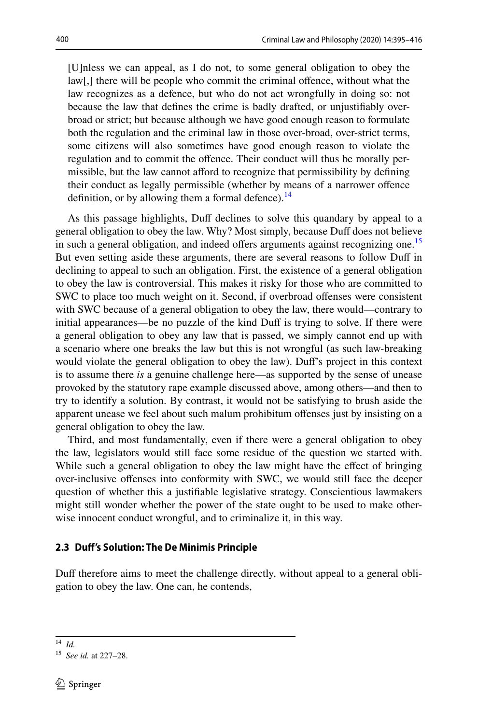[U]nless we can appeal, as I do not, to some general obligation to obey the law[,] there will be people who commit the criminal offence, without what the law recognizes as a defence, but who do not act wrongfully in doing so: not because the law that defnes the crime is badly drafted, or unjustifably overbroad or strict; but because although we have good enough reason to formulate both the regulation and the criminal law in those over-broad, over-strict terms, some citizens will also sometimes have good enough reason to violate the regulation and to commit the offence. Their conduct will thus be morally permissible, but the law cannot aford to recognize that permissibility by defning their conduct as legally permissible (whether by means of a narrower ofence definition, or by allowing them a formal defence). $^{14}$ 

As this passage highlights, Duff declines to solve this quandary by appeal to a general obligation to obey the law. Why? Most simply, because Duf does not believe in such a general obligation, and indeed offers arguments against recognizing one.<sup>[15](#page-5-2)</sup> But even setting aside these arguments, there are several reasons to follow Duff in declining to appeal to such an obligation. First, the existence of a general obligation to obey the law is controversial. This makes it risky for those who are committed to SWC to place too much weight on it. Second, if overbroad ofenses were consistent with SWC because of a general obligation to obey the law, there would—contrary to initial appearances—be no puzzle of the kind Duff is trying to solve. If there were a general obligation to obey any law that is passed, we simply cannot end up with a scenario where one breaks the law but this is not wrongful (as such law-breaking would violate the general obligation to obey the law). Duf's project in this context is to assume there *is* a genuine challenge here—as supported by the sense of unease provoked by the statutory rape example discussed above, among others—and then to try to identify a solution. By contrast, it would not be satisfying to brush aside the apparent unease we feel about such malum prohibitum ofenses just by insisting on a general obligation to obey the law.

Third, and most fundamentally, even if there were a general obligation to obey the law, legislators would still face some residue of the question we started with. While such a general obligation to obey the law might have the effect of bringing over-inclusive ofenses into conformity with SWC, we would still face the deeper question of whether this a justifable legislative strategy. Conscientious lawmakers might still wonder whether the power of the state ought to be used to make otherwise innocent conduct wrongful, and to criminalize it, in this way.

## <span id="page-5-0"></span>**2.3 Duf's Solution: The De Minimis Principle**

Duff therefore aims to meet the challenge directly, without appeal to a general obligation to obey the law. One can, he contends,

<span id="page-5-1"></span><sup>14</sup> *Id.*

<span id="page-5-2"></span><sup>15</sup> *See id.* at 227–28.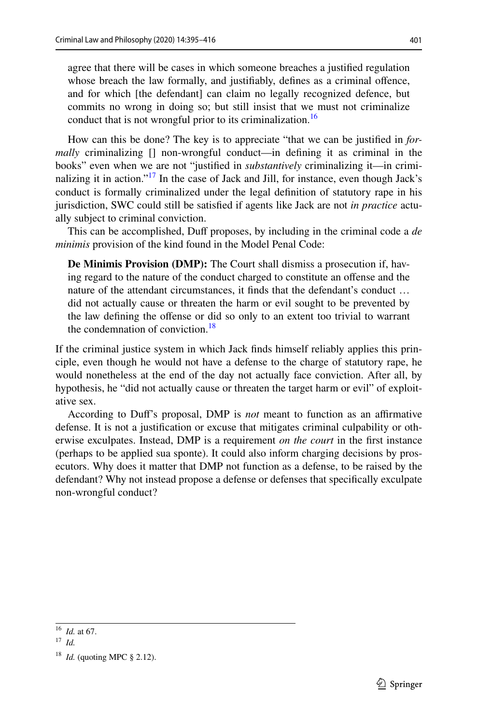agree that there will be cases in which someone breaches a justifed regulation whose breach the law formally, and justifably, defnes as a criminal ofence, and for which [the defendant] can claim no legally recognized defence, but commits no wrong in doing so; but still insist that we must not criminalize conduct that is not wrongful prior to its criminalization.<sup>16</sup>

How can this be done? The key is to appreciate "that we can be justifed in *formally* criminalizing [] non-wrongful conduct—in defning it as criminal in the books" even when we are not "justifed in *substantively* criminalizing it—in crimi-nalizing it in action."<sup>[17](#page-6-1)</sup> In the case of Jack and Jill, for instance, even though Jack's conduct is formally criminalized under the legal defnition of statutory rape in his jurisdiction, SWC could still be satisfed if agents like Jack are not *in practice* actually subject to criminal conviction.

This can be accomplished, Duf proposes, by including in the criminal code a *de minimis* provision of the kind found in the Model Penal Code:

**De Minimis Provision (DMP):** The Court shall dismiss a prosecution if, having regard to the nature of the conduct charged to constitute an ofense and the nature of the attendant circumstances, it fnds that the defendant's conduct … did not actually cause or threaten the harm or evil sought to be prevented by the law defning the ofense or did so only to an extent too trivial to warrant the condemnation of conviction. $18$ 

If the criminal justice system in which Jack fnds himself reliably applies this principle, even though he would not have a defense to the charge of statutory rape, he would nonetheless at the end of the day not actually face conviction. After all, by hypothesis, he "did not actually cause or threaten the target harm or evil" of exploitative sex.

According to Duf's proposal, DMP is *not* meant to function as an afrmative defense. It is not a justifcation or excuse that mitigates criminal culpability or otherwise exculpates. Instead, DMP is a requirement *on the court* in the frst instance (perhaps to be applied sua sponte). It could also inform charging decisions by prosecutors. Why does it matter that DMP not function as a defense, to be raised by the defendant? Why not instead propose a defense or defenses that specifcally exculpate non-wrongful conduct?

<span id="page-6-0"></span><sup>16</sup> *Id.* at 67.

<span id="page-6-1"></span><sup>17</sup> *Id.*

<span id="page-6-2"></span><sup>18</sup> *Id.* (quoting MPC § 2.12).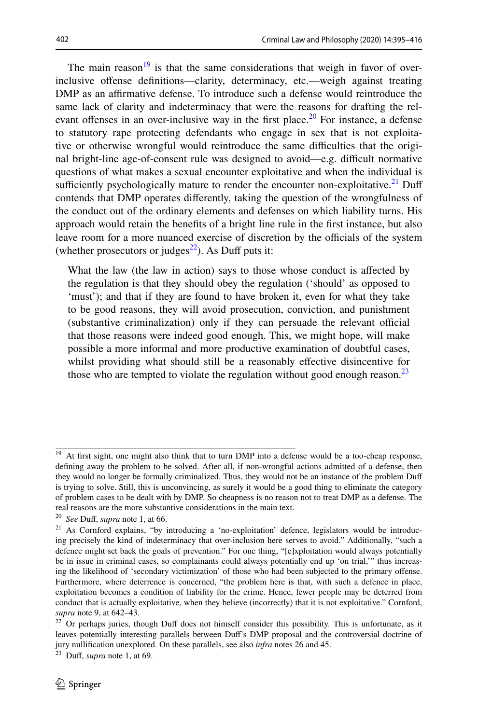The main reason $19$  is that the same considerations that weigh in favor of overinclusive ofense defnitions—clarity, determinacy, etc.—weigh against treating DMP as an affirmative defense. To introduce such a defense would reintroduce the same lack of clarity and indeterminacy that were the reasons for drafting the rel-evant offenses in an over-inclusive way in the first place.<sup>[20](#page-7-1)</sup> For instance, a defense to statutory rape protecting defendants who engage in sex that is not exploitative or otherwise wrongful would reintroduce the same difculties that the original bright-line age-of-consent rule was designed to avoid—e.g. difficult normative questions of what makes a sexual encounter exploitative and when the individual is sufficiently psychologically mature to render the encounter non-exploitative.<sup>21</sup> Duff contends that DMP operates diferently, taking the question of the wrongfulness of the conduct out of the ordinary elements and defenses on which liability turns. His approach would retain the benefts of a bright line rule in the frst instance, but also leave room for a more nuanced exercise of discretion by the officials of the system (whether prosecutors or judges $^{22}$ ). As Duff puts it:

What the law (the law in action) says to those whose conduct is affected by the regulation is that they should obey the regulation ('should' as opposed to 'must'); and that if they are found to have broken it, even for what they take to be good reasons, they will avoid prosecution, conviction, and punishment (substantive criminalization) only if they can persuade the relevant official that those reasons were indeed good enough. This, we might hope, will make possible a more informal and more productive examination of doubtful cases, whilst providing what should still be a reasonably effective disincentive for those who are tempted to violate the regulation without good enough reason.<sup>23</sup>

<span id="page-7-0"></span><sup>&</sup>lt;sup>19</sup> At first sight, one might also think that to turn DMP into a defense would be a too-cheap response, defning away the problem to be solved. After all, if non-wrongful actions admitted of a defense, then they would no longer be formally criminalized. Thus, they would not be an instance of the problem Duf is trying to solve. Still, this is unconvincing, as surely it would be a good thing to eliminate the category of problem cases to be dealt with by DMP. So cheapness is no reason not to treat DMP as a defense. The real reasons are the more substantive considerations in the main text.

<span id="page-7-1"></span><sup>20</sup> *See* Duf, *supra* note 1, at 66.

<span id="page-7-2"></span><sup>21</sup> As Cornford explains, "by introducing a 'no-exploitation' defence, legislators would be introducing precisely the kind of indeterminacy that over-inclusion here serves to avoid." Additionally, "such a defence might set back the goals of prevention." For one thing, "[e]xploitation would always potentially be in issue in criminal cases, so complainants could always potentially end up 'on trial,'" thus increasing the likelihood of 'secondary victimization' of those who had been subjected to the primary ofense. Furthermore, where deterrence is concerned, "the problem here is that, with such a defence in place, exploitation becomes a condition of liability for the crime. Hence, fewer people may be deterred from conduct that is actually exploitative, when they believe (incorrectly) that it is not exploitative." Cornford, *supra* note 9, at 642–43.

<span id="page-7-3"></span><sup>&</sup>lt;sup>22</sup> Or perhaps juries, though Duff does not himself consider this possibility. This is unfortunate, as it leaves potentially interesting parallels between Duf's DMP proposal and the controversial doctrine of jury nullifcation unexplored. On these parallels, see also *infra* notes 26 and 45.

<span id="page-7-4"></span><sup>23</sup> Duf, *supra* note 1, at 69.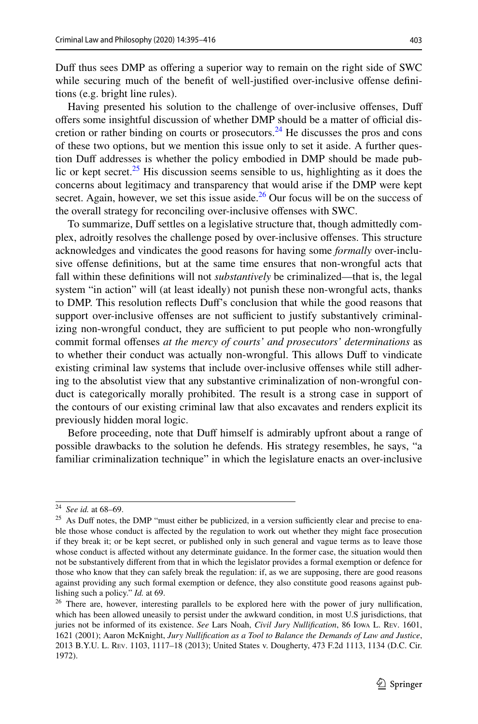Duf thus sees DMP as ofering a superior way to remain on the right side of SWC while securing much of the benefit of well-justified over-inclusive offense definitions (e.g. bright line rules).

Having presented his solution to the challenge of over-inclusive ofenses, Duf offers some insightful discussion of whether DMP should be a matter of official discretion or rather binding on courts or prosecutors.<sup>24</sup> He discusses the pros and cons of these two options, but we mention this issue only to set it aside. A further question Duff addresses is whether the policy embodied in DMP should be made public or kept secret.<sup>25</sup> His discussion seems sensible to us, highlighting as it does the concerns about legitimacy and transparency that would arise if the DMP were kept secret. Again, however, we set this issue aside. $26$  Our focus will be on the success of the overall strategy for reconciling over-inclusive ofenses with SWC.

To summarize, Duf settles on a legislative structure that, though admittedly complex, adroitly resolves the challenge posed by over-inclusive ofenses. This structure acknowledges and vindicates the good reasons for having some *formally* over-inclusive ofense defnitions, but at the same time ensures that non-wrongful acts that fall within these definitions will not *substantively* be criminalized—that is, the legal system "in action" will (at least ideally) not punish these non-wrongful acts, thanks to DMP. This resolution refects Duf's conclusion that while the good reasons that support over-inclusive offenses are not sufficient to justify substantively criminalizing non-wrongful conduct, they are sufficient to put people who non-wrongfully commit formal ofenses *at the mercy of courts' and prosecutors' determinations* as to whether their conduct was actually non-wrongful. This allows Duf to vindicate existing criminal law systems that include over-inclusive ofenses while still adhering to the absolutist view that any substantive criminalization of non-wrongful conduct is categorically morally prohibited. The result is a strong case in support of the contours of our existing criminal law that also excavates and renders explicit its previously hidden moral logic.

Before proceeding, note that Duff himself is admirably upfront about a range of possible drawbacks to the solution he defends. His strategy resembles, he says, "a familiar criminalization technique" in which the legislature enacts an over-inclusive

<span id="page-8-0"></span><sup>24</sup> *See id.* at 68–69.

<span id="page-8-1"></span><sup>&</sup>lt;sup>25</sup> As Duff notes, the DMP "must either be publicized, in a version sufficiently clear and precise to enable those whose conduct is afected by the regulation to work out whether they might face prosecution if they break it; or be kept secret, or published only in such general and vague terms as to leave those whose conduct is afected without any determinate guidance. In the former case, the situation would then not be substantively diferent from that in which the legislator provides a formal exemption or defence for those who know that they can safely break the regulation: if, as we are supposing, there are good reasons against providing any such formal exemption or defence, they also constitute good reasons against publishing such a policy." *Id.* at 69.

<span id="page-8-2"></span><sup>&</sup>lt;sup>26</sup> There are, however, interesting parallels to be explored here with the power of jury nullification, which has been allowed uneasily to persist under the awkward condition, in most U.S jurisdictions, that juries not be informed of its existence. *See* Lars Noah, *Civil Jury Nullifcation*, 86 Iowa L. Rev. 1601, 1621 (2001); Aaron McKnight, *Jury Nullifcation as a Tool to Balance the Demands of Law and Justice*, 2013 B.Y.U. L. Rev. 1103, 1117–18 (2013); United States v. Dougherty, 473 F.2d 1113, 1134 (D.C. Cir. 1972).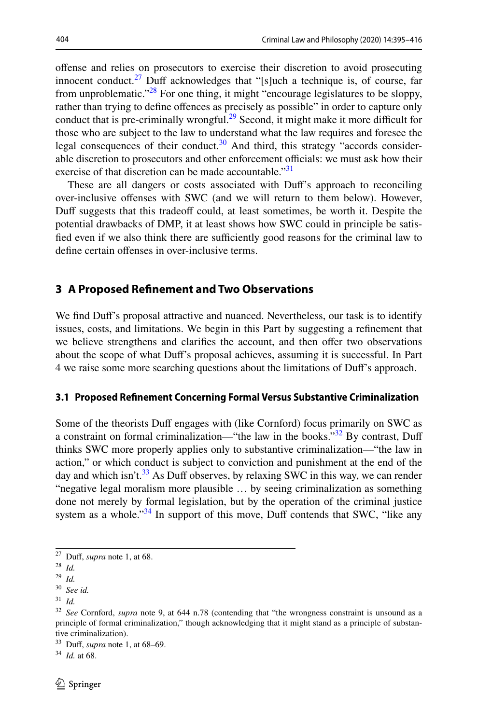offense and relies on prosecutors to exercise their discretion to avoid prosecuting innocent conduct.<sup>27</sup> Duff acknowledges that "[s]uch a technique is, of course, far from unproblematic."[28](#page-9-1) For one thing, it might "encourage legislatures to be sloppy, rather than trying to define offences as precisely as possible" in order to capture only conduct that is pre-criminally wrongful. $^{29}$  Second, it might make it more difficult for those who are subject to the law to understand what the law requires and foresee the legal consequences of their conduct.<sup>30</sup> And third, this strategy "accords considerable discretion to prosecutors and other enforcement officials: we must ask how their exercise of that discretion can be made accountable."<sup>[31](#page-9-4)</sup>

These are all dangers or costs associated with Duf's approach to reconciling over-inclusive ofenses with SWC (and we will return to them below). However, Duff suggests that this tradeoff could, at least sometimes, be worth it. Despite the potential drawbacks of DMP, it at least shows how SWC could in principle be satisfied even if we also think there are sufficiently good reasons for the criminal law to define certain offenses in over-inclusive terms.

### **3 A Proposed Refnement and Two Observations**

We find Duff's proposal attractive and nuanced. Nevertheless, our task is to identify issues, costs, and limitations. We begin in this Part by suggesting a refnement that we believe strengthens and clarifies the account, and then offer two observations about the scope of what Duf's proposal achieves, assuming it is successful. In Part 4 we raise some more searching questions about the limitations of Duf's approach.

#### **3.1 Proposed Refnement Concerning Formal Versus Substantive Criminalization**

Some of the theorists Duff engages with (like Cornford) focus primarily on SWC as a constraint on formal criminalization—"the law in the books."<sup>32</sup> By contrast, Duff thinks SWC more properly applies only to substantive criminalization—"the law in action," or which conduct is subject to conviction and punishment at the end of the day and which isn't.<sup>33</sup> As Duff observes, by relaxing SWC in this way, we can render "negative legal moralism more plausible … by seeing criminalization as something done not merely by formal legislation, but by the operation of the criminal justice system as a whole."<sup>[34](#page-9-7)</sup> In support of this move, Duff contends that SWC, "like any

<span id="page-9-0"></span><sup>27</sup> Duf, *supra* note 1, at 68.

<span id="page-9-1"></span><sup>28</sup> *Id.*

<span id="page-9-2"></span><sup>29</sup> *Id.*

<span id="page-9-3"></span><sup>30</sup> *See id.*

<span id="page-9-4"></span><sup>31</sup> *Id.*

<span id="page-9-5"></span><sup>32</sup> *See* Cornford, *supra* note 9, at 644 n.78 (contending that "the wrongness constraint is unsound as a principle of formal criminalization," though acknowledging that it might stand as a principle of substantive criminalization).

<span id="page-9-6"></span><sup>33</sup> Duf, *supra* note 1, at 68–69.

<span id="page-9-7"></span><sup>34</sup> *Id.* at 68.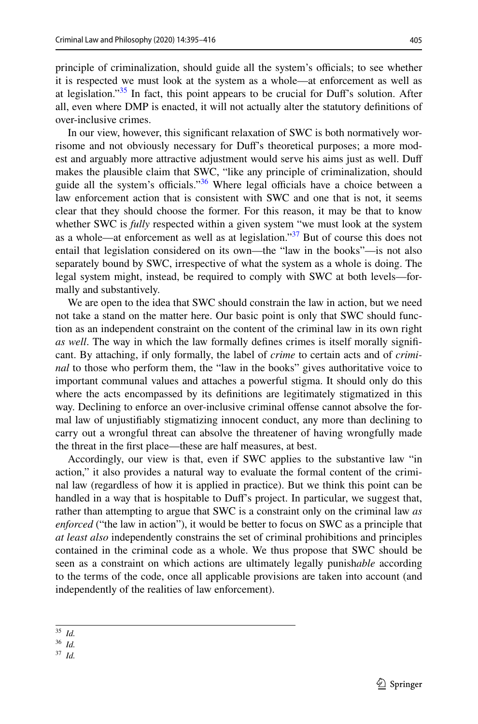principle of criminalization, should guide all the system's officials; to see whether it is respected we must look at the system as a whole—at enforcement as well as at legislation."<sup>35</sup> In fact, this point appears to be crucial for Duff's solution. After all, even where DMP is enacted, it will not actually alter the statutory defnitions of over-inclusive crimes.

In our view, however, this signifcant relaxation of SWC is both normatively worrisome and not obviously necessary for Duf's theoretical purposes; a more modest and arguably more attractive adjustment would serve his aims just as well. Duf makes the plausible claim that SWC, "like any principle of criminalization, should guide all the system's officials."<sup>36</sup> Where legal officials have a choice between a law enforcement action that is consistent with SWC and one that is not, it seems clear that they should choose the former. For this reason, it may be that to know whether SWC is *fully* respected within a given system "we must look at the system as a whole—at enforcement as well as at legislation." $37$  But of course this does not entail that legislation considered on its own—the "law in the books"—is not also separately bound by SWC, irrespective of what the system as a whole is doing. The legal system might, instead, be required to comply with SWC at both levels—formally and substantively.

We are open to the idea that SWC should constrain the law in action, but we need not take a stand on the matter here. Our basic point is only that SWC should function as an independent constraint on the content of the criminal law in its own right *as well*. The way in which the law formally defnes crimes is itself morally signifcant. By attaching, if only formally, the label of *crime* to certain acts and of *criminal* to those who perform them, the "law in the books" gives authoritative voice to important communal values and attaches a powerful stigma. It should only do this where the acts encompassed by its defnitions are legitimately stigmatized in this way. Declining to enforce an over-inclusive criminal ofense cannot absolve the formal law of unjustifably stigmatizing innocent conduct, any more than declining to carry out a wrongful threat can absolve the threatener of having wrongfully made the threat in the frst place—these are half measures, at best.

Accordingly, our view is that, even if SWC applies to the substantive law "in action," it also provides a natural way to evaluate the formal content of the criminal law (regardless of how it is applied in practice). But we think this point can be handled in a way that is hospitable to Duf's project. In particular, we suggest that, rather than attempting to argue that SWC is a constraint only on the criminal law *as enforced* ("the law in action"), it would be better to focus on SWC as a principle that *at least also* independently constrains the set of criminal prohibitions and principles contained in the criminal code as a whole. We thus propose that SWC should be seen as a constraint on which actions are ultimately legally punish*able* according to the terms of the code, once all applicable provisions are taken into account (and independently of the realities of law enforcement).

<span id="page-10-0"></span><sup>35</sup> *Id.*

<span id="page-10-1"></span><sup>36</sup> *Id.*

<span id="page-10-2"></span><sup>37</sup> *Id.*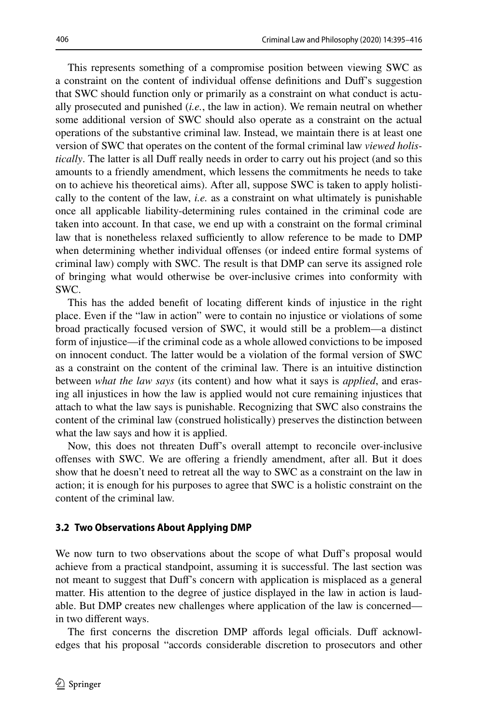This represents something of a compromise position between viewing SWC as a constraint on the content of individual ofense defnitions and Duf's suggestion that SWC should function only or primarily as a constraint on what conduct is actually prosecuted and punished (*i.e.*, the law in action). We remain neutral on whether some additional version of SWC should also operate as a constraint on the actual operations of the substantive criminal law. Instead, we maintain there is at least one version of SWC that operates on the content of the formal criminal law *viewed holistically*. The latter is all Duff really needs in order to carry out his project (and so this amounts to a friendly amendment, which lessens the commitments he needs to take on to achieve his theoretical aims). After all, suppose SWC is taken to apply holistically to the content of the law, *i.e.* as a constraint on what ultimately is punishable once all applicable liability-determining rules contained in the criminal code are taken into account. In that case, we end up with a constraint on the formal criminal law that is nonetheless relaxed sufficiently to allow reference to be made to DMP when determining whether individual ofenses (or indeed entire formal systems of criminal law) comply with SWC. The result is that DMP can serve its assigned role of bringing what would otherwise be over-inclusive crimes into conformity with SWC.

This has the added beneft of locating diferent kinds of injustice in the right place. Even if the "law in action" were to contain no injustice or violations of some broad practically focused version of SWC, it would still be a problem—a distinct form of injustice—if the criminal code as a whole allowed convictions to be imposed on innocent conduct. The latter would be a violation of the formal version of SWC as a constraint on the content of the criminal law. There is an intuitive distinction between *what the law says* (its content) and how what it says is *applied*, and erasing all injustices in how the law is applied would not cure remaining injustices that attach to what the law says is punishable. Recognizing that SWC also constrains the content of the criminal law (construed holistically) preserves the distinction between what the law says and how it is applied.

Now, this does not threaten Duf's overall attempt to reconcile over-inclusive ofenses with SWC. We are ofering a friendly amendment, after all. But it does show that he doesn't need to retreat all the way to SWC as a constraint on the law in action; it is enough for his purposes to agree that SWC is a holistic constraint on the content of the criminal law.

## <span id="page-11-0"></span>**3.2 Two Observations About Applying DMP**

We now turn to two observations about the scope of what Duf's proposal would achieve from a practical standpoint, assuming it is successful. The last section was not meant to suggest that Duf's concern with application is misplaced as a general matter. His attention to the degree of justice displayed in the law in action is laudable. But DMP creates new challenges where application of the law is concerned in two diferent ways.

The first concerns the discretion DMP affords legal officials. Duff acknowledges that his proposal "accords considerable discretion to prosecutors and other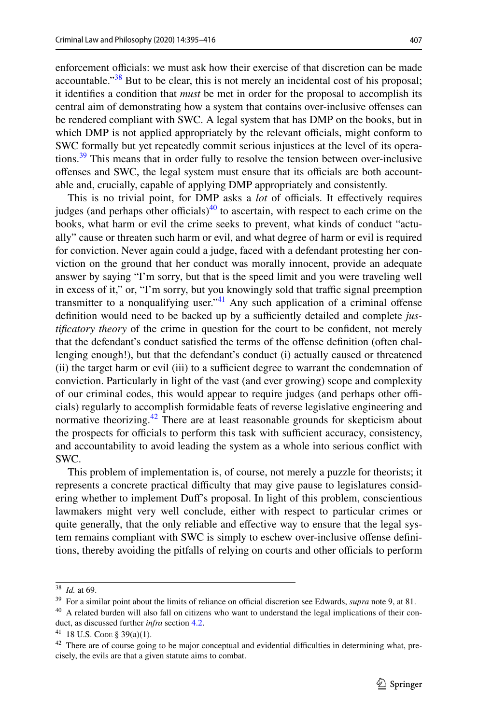enforcement officials: we must ask how their exercise of that discretion can be made accountable." $38$  But to be clear, this is not merely an incidental cost of his proposal; it identifes a condition that *must* be met in order for the proposal to accomplish its central aim of demonstrating how a system that contains over-inclusive ofenses can be rendered compliant with SWC. A legal system that has DMP on the books, but in which DMP is not applied appropriately by the relevant officials, might conform to SWC formally but yet repeatedly commit serious injustices at the level of its operations.<sup>39</sup> This means that in order fully to resolve the tension between over-inclusive offenses and SWC, the legal system must ensure that its officials are both accountable and, crucially, capable of applying DMP appropriately and consistently.

This is no trivial point, for DMP asks a *lot* of officials. It effectively requires judges (and perhaps other officials)<sup>40</sup> to ascertain, with respect to each crime on the books, what harm or evil the crime seeks to prevent, what kinds of conduct "actually" cause or threaten such harm or evil, and what degree of harm or evil is required for conviction. Never again could a judge, faced with a defendant protesting her conviction on the ground that her conduct was morally innocent, provide an adequate answer by saying "I'm sorry, but that is the speed limit and you were traveling well in excess of it," or, "I'm sorry, but you knowingly sold that traffic signal preemption transmitter to a nonqualifying user.<sup>[41](#page-12-3)</sup> Any such application of a criminal offense definition would need to be backed up by a sufficiently detailed and complete *justifcatory theory* of the crime in question for the court to be confdent, not merely that the defendant's conduct satisfed the terms of the ofense defnition (often challenging enough!), but that the defendant's conduct (i) actually caused or threatened (ii) the target harm or evil (iii) to a sufficient degree to warrant the condemnation of conviction. Particularly in light of the vast (and ever growing) scope and complexity of our criminal codes, this would appear to require judges (and perhaps other officials) regularly to accomplish formidable feats of reverse legislative engineering and normative theorizing.<sup>[42](#page-12-4)</sup> There are at least reasonable grounds for skepticism about the prospects for officials to perform this task with sufficient accuracy, consistency, and accountability to avoid leading the system as a whole into serious confict with SWC.

This problem of implementation is, of course, not merely a puzzle for theorists; it represents a concrete practical difculty that may give pause to legislatures considering whether to implement Duf's proposal. In light of this problem, conscientious lawmakers might very well conclude, either with respect to particular crimes or quite generally, that the only reliable and efective way to ensure that the legal system remains compliant with SWC is simply to eschew over-inclusive offense definitions, thereby avoiding the pitfalls of relying on courts and other officials to perform

<span id="page-12-0"></span><sup>38</sup> *Id.* at 69.

<span id="page-12-1"></span><sup>&</sup>lt;sup>39</sup> For a similar point about the limits of reliance on official discretion see Edwards, *supra* note 9, at 81.

<span id="page-12-2"></span><sup>&</sup>lt;sup>40</sup> A related burden will also fall on citizens who want to understand the legal implications of their conduct, as discussed further *infra* section [4.2](#page-19-0).

<span id="page-12-3"></span> $41$  18 U.S. CODE § 39(a)(1).

<span id="page-12-4"></span> $42$  There are of course going to be major conceptual and evidential difficulties in determining what, precisely, the evils are that a given statute aims to combat.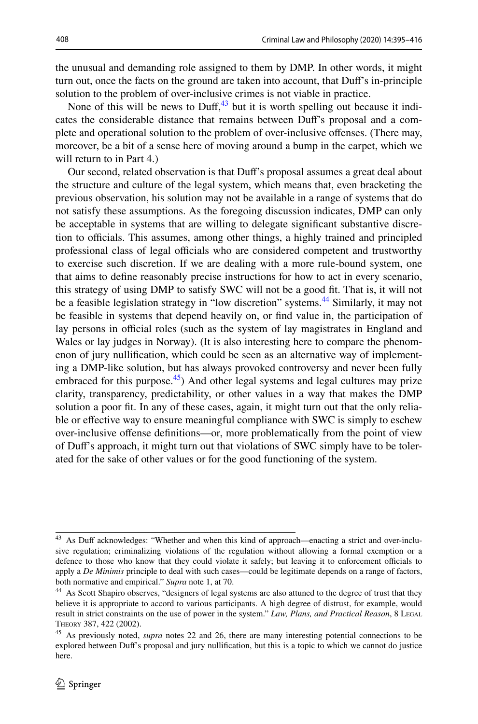the unusual and demanding role assigned to them by DMP. In other words, it might turn out, once the facts on the ground are taken into account, that Duf's in-principle solution to the problem of over-inclusive crimes is not viable in practice.

None of this will be news to Duff,  $43$  but it is worth spelling out because it indicates the considerable distance that remains between Duf's proposal and a complete and operational solution to the problem of over-inclusive ofenses. (There may, moreover, be a bit of a sense here of moving around a bump in the carpet, which we will return to in Part 4.)

Our second, related observation is that Duf's proposal assumes a great deal about the structure and culture of the legal system, which means that, even bracketing the previous observation, his solution may not be available in a range of systems that do not satisfy these assumptions. As the foregoing discussion indicates, DMP can only be acceptable in systems that are willing to delegate signifcant substantive discretion to officials. This assumes, among other things, a highly trained and principled professional class of legal officials who are considered competent and trustworthy to exercise such discretion. If we are dealing with a more rule-bound system, one that aims to defne reasonably precise instructions for how to act in every scenario, this strategy of using DMP to satisfy SWC will not be a good ft. That is, it will not be a feasible legislation strategy in "low discretion" systems.<sup>44</sup> Similarly, it may not be feasible in systems that depend heavily on, or fnd value in, the participation of lay persons in official roles (such as the system of lay magistrates in England and Wales or lay judges in Norway). (It is also interesting here to compare the phenomenon of jury nullifcation, which could be seen as an alternative way of implementing a DMP-like solution, but has always provoked controversy and never been fully embraced for this purpose. $45$ ) And other legal systems and legal cultures may prize clarity, transparency, predictability, or other values in a way that makes the DMP solution a poor ft. In any of these cases, again, it might turn out that the only reliable or effective way to ensure meaningful compliance with SWC is simply to eschew over-inclusive ofense defnitions—or, more problematically from the point of view of Duf's approach, it might turn out that violations of SWC simply have to be tolerated for the sake of other values or for the good functioning of the system.

<span id="page-13-0"></span><sup>&</sup>lt;sup>43</sup> As Duff acknowledges: "Whether and when this kind of approach—enacting a strict and over-inclusive regulation; criminalizing violations of the regulation without allowing a formal exemption or a defence to those who know that they could violate it safely; but leaving it to enforcement officials to apply a *De Minimis* principle to deal with such cases—could be legitimate depends on a range of factors, both normative and empirical." *Supra* note 1, at 70.

<span id="page-13-1"></span><sup>&</sup>lt;sup>44</sup> As Scott Shapiro observes, "designers of legal systems are also attuned to the degree of trust that they believe it is appropriate to accord to various participants. A high degree of distrust, for example, would result in strict constraints on the use of power in the system." *Law, Plans, and Practical Reason*, 8 Legal Theory 387, 422 (2002).

<span id="page-13-2"></span><sup>45</sup> As previously noted, *supra* notes 22 and 26, there are many interesting potential connections to be explored between Duf's proposal and jury nullifcation, but this is a topic to which we cannot do justice here.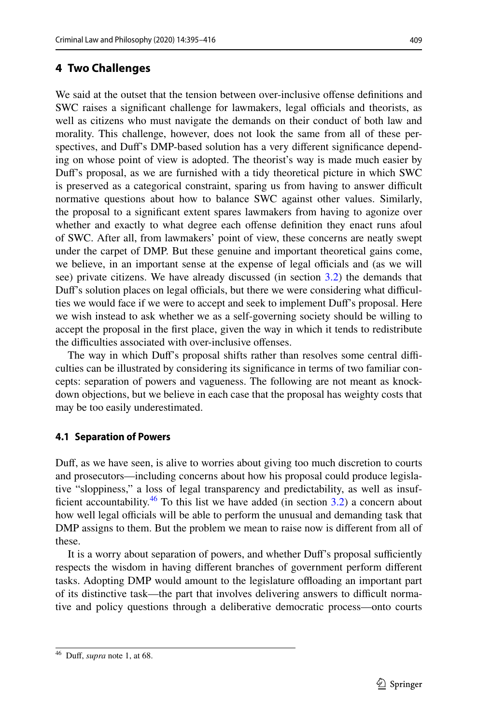# **4 Two Challenges**

We said at the outset that the tension between over-inclusive ofense defnitions and SWC raises a significant challenge for lawmakers, legal officials and theorists, as well as citizens who must navigate the demands on their conduct of both law and morality. This challenge, however, does not look the same from all of these perspectives, and Duf's DMP-based solution has a very diferent signifcance depending on whose point of view is adopted. The theorist's way is made much easier by Duf's proposal, as we are furnished with a tidy theoretical picture in which SWC is preserved as a categorical constraint, sparing us from having to answer difficult normative questions about how to balance SWC against other values. Similarly, the proposal to a signifcant extent spares lawmakers from having to agonize over whether and exactly to what degree each offense definition they enact runs afoul of SWC. After all, from lawmakers' point of view, these concerns are neatly swept under the carpet of DMP. But these genuine and important theoretical gains come, we believe, in an important sense at the expense of legal officials and (as we will see) private citizens. We have already discussed (in section [3.2](#page-11-0)) the demands that Duff's solution places on legal officials, but there we were considering what difficulties we would face if we were to accept and seek to implement Duf's proposal. Here we wish instead to ask whether we as a self-governing society should be willing to accept the proposal in the frst place, given the way in which it tends to redistribute the difculties associated with over-inclusive ofenses.

The way in which Duff's proposal shifts rather than resolves some central difficulties can be illustrated by considering its signifcance in terms of two familiar concepts: separation of powers and vagueness. The following are not meant as knockdown objections, but we believe in each case that the proposal has weighty costs that may be too easily underestimated.

#### **4.1 Separation of Powers**

Duf, as we have seen, is alive to worries about giving too much discretion to courts and prosecutors—including concerns about how his proposal could produce legislative "sloppiness," a loss of legal transparency and predictability, as well as insufficient accountability.<sup>46</sup> To this list we have added (in section  $3.2$ ) a concern about how well legal officials will be able to perform the unusual and demanding task that DMP assigns to them. But the problem we mean to raise now is diferent from all of these.

It is a worry about separation of powers, and whether Duff's proposal sufficiently respects the wisdom in having diferent branches of government perform diferent tasks. Adopting DMP would amount to the legislature offloading an important part of its distinctive task—the part that involves delivering answers to difcult normative and policy questions through a deliberative democratic process—onto courts

<span id="page-14-0"></span><sup>46</sup> Duf, *supra* note 1, at 68.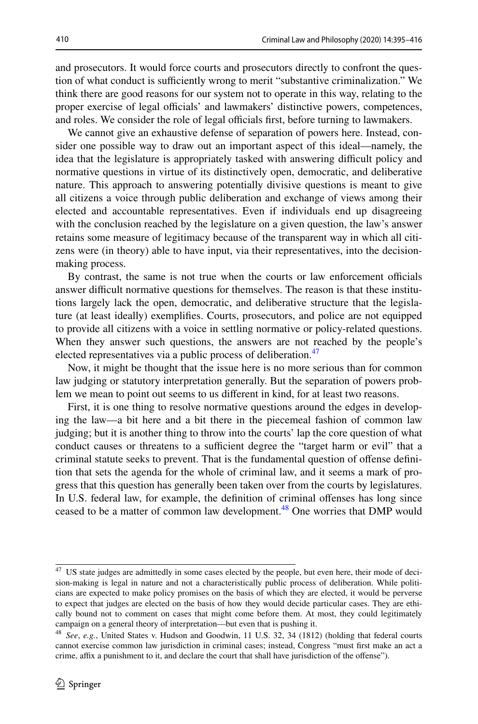and prosecutors. It would force courts and prosecutors directly to confront the question of what conduct is sufficiently wrong to merit "substantive criminalization." We think there are good reasons for our system not to operate in this way, relating to the proper exercise of legal officials' and lawmakers' distinctive powers, competences, and roles. We consider the role of legal officials first, before turning to lawmakers.

We cannot give an exhaustive defense of separation of powers here. Instead, consider one possible way to draw out an important aspect of this ideal—namely, the idea that the legislature is appropriately tasked with answering difficult policy and normative questions in virtue of its distinctively open, democratic, and deliberative nature. This approach to answering potentially divisive questions is meant to give all citizens a voice through public deliberation and exchange of views among their elected and accountable representatives. Even if individuals end up disagreeing with the conclusion reached by the legislature on a given question, the law's answer retains some measure of legitimacy because of the transparent way in which all citizens were (in theory) able to have input, via their representatives, into the decisionmaking process.

By contrast, the same is not true when the courts or law enforcement officials answer difcult normative questions for themselves. The reason is that these institutions largely lack the open, democratic, and deliberative structure that the legislature (at least ideally) exemplifes. Courts, prosecutors, and police are not equipped to provide all citizens with a voice in settling normative or policy-related questions. When they answer such questions, the answers are not reached by the people's elected representatives via a public process of deliberation.<sup>[47](#page-15-0)</sup>

Now, it might be thought that the issue here is no more serious than for common law judging or statutory interpretation generally. But the separation of powers problem we mean to point out seems to us diferent in kind, for at least two reasons.

First, it is one thing to resolve normative questions around the edges in developing the law—a bit here and a bit there in the piecemeal fashion of common law judging; but it is another thing to throw into the courts' lap the core question of what conduct causes or threatens to a sufficient degree the "target harm or evil" that a criminal statute seeks to prevent. That is the fundamental question of ofense defnition that sets the agenda for the whole of criminal law, and it seems a mark of progress that this question has generally been taken over from the courts by legislatures. In U.S. federal law, for example, the defnition of criminal ofenses has long since ceased to be a matter of common law development.<sup>48</sup> One worries that DMP would

<span id="page-15-0"></span><sup>&</sup>lt;sup>47</sup> US state judges are admittedly in some cases elected by the people, but even here, their mode of decision-making is legal in nature and not a characteristically public process of deliberation. While politicians are expected to make policy promises on the basis of which they are elected, it would be perverse to expect that judges are elected on the basis of how they would decide particular cases. They are ethically bound not to comment on cases that might come before them. At most, they could legitimately campaign on a general theory of interpretation—but even that is pushing it.

<span id="page-15-1"></span><sup>48</sup> *See*, *e.g.*, United States v. Hudson and Goodwin, 11 U.S. 32, 34 (1812) (holding that federal courts cannot exercise common law jurisdiction in criminal cases; instead, Congress "must frst make an act a crime, affix a punishment to it, and declare the court that shall have jurisdiction of the offense").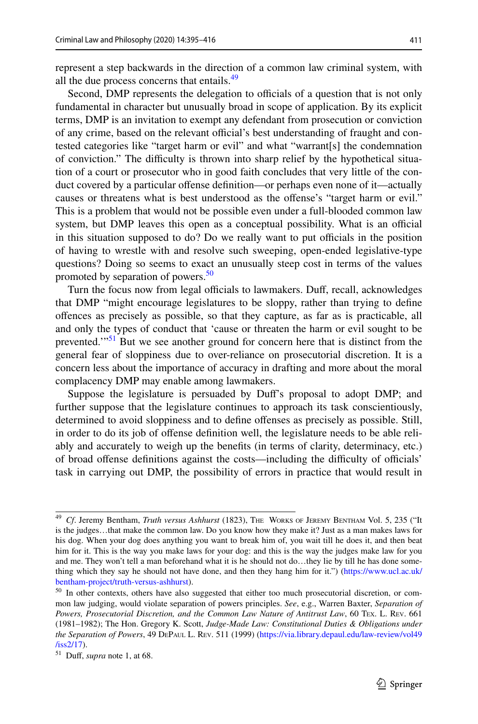represent a step backwards in the direction of a common law criminal system, with all the due process concerns that entails.<sup>49</sup>

Second, DMP represents the delegation to officials of a question that is not only fundamental in character but unusually broad in scope of application. By its explicit terms, DMP is an invitation to exempt any defendant from prosecution or conviction of any crime, based on the relevant official's best understanding of fraught and contested categories like "target harm or evil" and what "warrant[s] the condemnation of conviction." The difculty is thrown into sharp relief by the hypothetical situation of a court or prosecutor who in good faith concludes that very little of the conduct covered by a particular offense definition—or perhaps even none of it—actually causes or threatens what is best understood as the ofense's "target harm or evil." This is a problem that would not be possible even under a full-blooded common law system, but DMP leaves this open as a conceptual possibility. What is an official in this situation supposed to do? Do we really want to put officials in the position of having to wrestle with and resolve such sweeping, open-ended legislative-type questions? Doing so seems to exact an unusually steep cost in terms of the values promoted by separation of powers.<sup>[50](#page-16-1)</sup>

Turn the focus now from legal officials to lawmakers. Duff, recall, acknowledges that DMP "might encourage legislatures to be sloppy, rather than trying to defne ofences as precisely as possible, so that they capture, as far as is practicable, all and only the types of conduct that 'cause or threaten the harm or evil sought to be prevented."<sup>51</sup> But we see another ground for concern here that is distinct from the general fear of sloppiness due to over-reliance on prosecutorial discretion. It is a concern less about the importance of accuracy in drafting and more about the moral complacency DMP may enable among lawmakers.

Suppose the legislature is persuaded by Duf's proposal to adopt DMP; and further suppose that the legislature continues to approach its task conscientiously, determined to avoid sloppiness and to defne ofenses as precisely as possible. Still, in order to do its job of ofense defnition well, the legislature needs to be able reliably and accurately to weigh up the benefts (in terms of clarity, determinacy, etc.) of broad offense definitions against the costs—including the difficulty of officials' task in carrying out DMP, the possibility of errors in practice that would result in

<span id="page-16-0"></span><sup>49</sup> *Cf*. Jeremy Bentham, *Truth versus Ashhurst* (1823), The Works of Jeremy Bentham Vol. 5, 235 ("It is the judges…that make the common law. Do you know how they make it? Just as a man makes laws for his dog. When your dog does anything you want to break him of, you wait till he does it, and then beat him for it. This is the way you make laws for your dog: and this is the way the judges make law for you and me. They won't tell a man beforehand what it is he should not do…they lie by till he has done something which they say he should not have done, and then they hang him for it.") [\(https://www.ucl.ac.uk/](https://www.ucl.ac.uk/bentham-project/truth-versus-ashhurst) [bentham-project/truth-versus-ashhurst](https://www.ucl.ac.uk/bentham-project/truth-versus-ashhurst)).

<span id="page-16-1"></span><sup>&</sup>lt;sup>50</sup> In other contexts, others have also suggested that either too much prosecutorial discretion, or common law judging, would violate separation of powers principles. *See*, e.g., Warren Baxter, *Separation of Powers, Prosecutorial Discretion, and the Common Law Nature of Antitrust Law*, 60 Tex. L. Rev. 661 (1981–1982); The Hon. Gregory K. Scott, *Judge-Made Law: Constitutional Duties & Obligations under the Separation of Powers*, 49 DePaul L. Rev. 511 (1999) ([https://via.library.depaul.edu/law-review/vol49](https://via.library.depaul.edu/law-review/vol49/iss2/17) [/iss2/17\)](https://via.library.depaul.edu/law-review/vol49/iss2/17).

<span id="page-16-2"></span><sup>51</sup> Duf, *supra* note 1, at 68.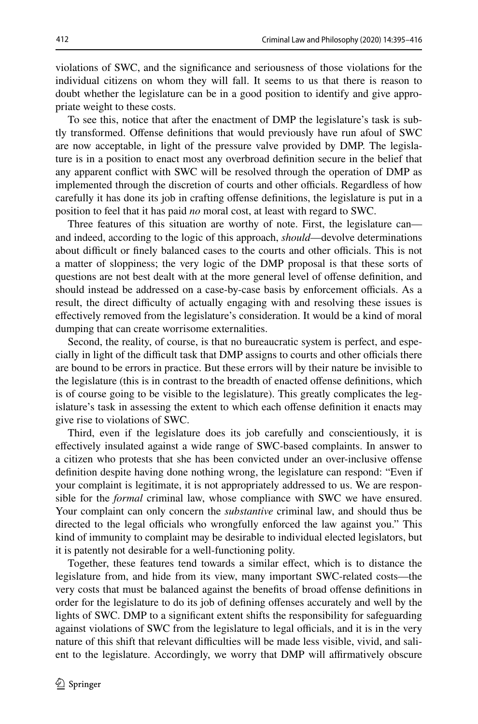violations of SWC, and the signifcance and seriousness of those violations for the individual citizens on whom they will fall. It seems to us that there is reason to doubt whether the legislature can be in a good position to identify and give appropriate weight to these costs.

To see this, notice that after the enactment of DMP the legislature's task is subtly transformed. Ofense defnitions that would previously have run afoul of SWC are now acceptable, in light of the pressure valve provided by DMP. The legislature is in a position to enact most any overbroad defnition secure in the belief that any apparent confict with SWC will be resolved through the operation of DMP as implemented through the discretion of courts and other officials. Regardless of how carefully it has done its job in crafting ofense defnitions, the legislature is put in a position to feel that it has paid *no* moral cost, at least with regard to SWC.

Three features of this situation are worthy of note. First, the legislature can and indeed, according to the logic of this approach, *should*—devolve determinations about difficult or finely balanced cases to the courts and other officials. This is not a matter of sloppiness; the very logic of the DMP proposal is that these sorts of questions are not best dealt with at the more general level of ofense defnition, and should instead be addressed on a case-by-case basis by enforcement officials. As a result, the direct difculty of actually engaging with and resolving these issues is efectively removed from the legislature's consideration. It would be a kind of moral dumping that can create worrisome externalities.

Second, the reality, of course, is that no bureaucratic system is perfect, and especially in light of the difficult task that DMP assigns to courts and other officials there are bound to be errors in practice. But these errors will by their nature be invisible to the legislature (this is in contrast to the breadth of enacted ofense defnitions, which is of course going to be visible to the legislature). This greatly complicates the legislature's task in assessing the extent to which each ofense defnition it enacts may give rise to violations of SWC.

Third, even if the legislature does its job carefully and conscientiously, it is efectively insulated against a wide range of SWC-based complaints. In answer to a citizen who protests that she has been convicted under an over-inclusive ofense defnition despite having done nothing wrong, the legislature can respond: "Even if your complaint is legitimate, it is not appropriately addressed to us. We are responsible for the *formal* criminal law, whose compliance with SWC we have ensured. Your complaint can only concern the *substantive* criminal law, and should thus be directed to the legal officials who wrongfully enforced the law against you." This kind of immunity to complaint may be desirable to individual elected legislators, but it is patently not desirable for a well-functioning polity.

Together, these features tend towards a similar efect, which is to distance the legislature from, and hide from its view, many important SWC-related costs—the very costs that must be balanced against the benefts of broad ofense defnitions in order for the legislature to do its job of defning ofenses accurately and well by the lights of SWC. DMP to a signifcant extent shifts the responsibility for safeguarding against violations of SWC from the legislature to legal officials, and it is in the very nature of this shift that relevant difficulties will be made less visible, vivid, and salient to the legislature. Accordingly, we worry that DMP will affirmatively obscure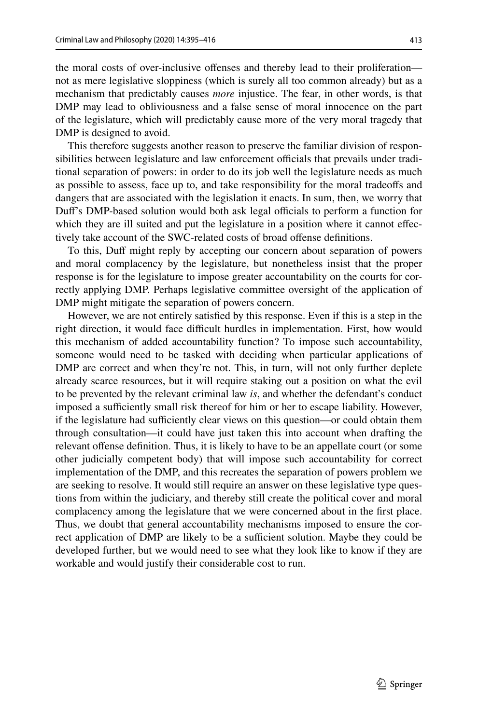the moral costs of over-inclusive ofenses and thereby lead to their proliferation not as mere legislative sloppiness (which is surely all too common already) but as a mechanism that predictably causes *more* injustice. The fear, in other words, is that DMP may lead to obliviousness and a false sense of moral innocence on the part of the legislature, which will predictably cause more of the very moral tragedy that DMP is designed to avoid.

This therefore suggests another reason to preserve the familiar division of responsibilities between legislature and law enforcement officials that prevails under traditional separation of powers: in order to do its job well the legislature needs as much as possible to assess, face up to, and take responsibility for the moral tradeofs and dangers that are associated with the legislation it enacts. In sum, then, we worry that Duff's DMP-based solution would both ask legal officials to perform a function for which they are ill suited and put the legislature in a position where it cannot effectively take account of the SWC-related costs of broad offense definitions.

To this, Duf might reply by accepting our concern about separation of powers and moral complacency by the legislature, but nonetheless insist that the proper response is for the legislature to impose greater accountability on the courts for correctly applying DMP. Perhaps legislative committee oversight of the application of DMP might mitigate the separation of powers concern.

However, we are not entirely satisfed by this response. Even if this is a step in the right direction, it would face difficult hurdles in implementation. First, how would this mechanism of added accountability function? To impose such accountability, someone would need to be tasked with deciding when particular applications of DMP are correct and when they're not. This, in turn, will not only further deplete already scarce resources, but it will require staking out a position on what the evil to be prevented by the relevant criminal law *is*, and whether the defendant's conduct imposed a sufficiently small risk thereof for him or her to escape liability. However, if the legislature had sufficiently clear views on this question—or could obtain them through consultation—it could have just taken this into account when drafting the relevant ofense defnition. Thus, it is likely to have to be an appellate court (or some other judicially competent body) that will impose such accountability for correct implementation of the DMP, and this recreates the separation of powers problem we are seeking to resolve. It would still require an answer on these legislative type questions from within the judiciary, and thereby still create the political cover and moral complacency among the legislature that we were concerned about in the frst place. Thus, we doubt that general accountability mechanisms imposed to ensure the correct application of DMP are likely to be a sufficient solution. Maybe they could be developed further, but we would need to see what they look like to know if they are workable and would justify their considerable cost to run.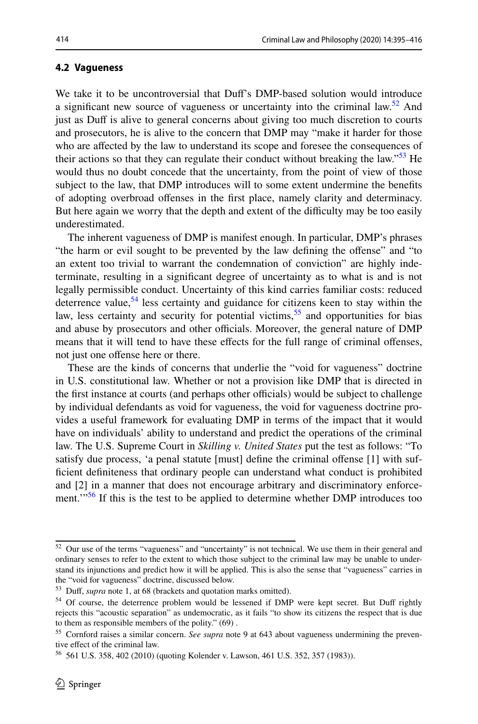#### <span id="page-19-0"></span>**4.2 Vagueness**

We take it to be uncontroversial that Duf's DMP-based solution would introduce a significant new source of vagueness or uncertainty into the criminal law.<sup>52</sup> And just as Duff is alive to general concerns about giving too much discretion to courts and prosecutors, he is alive to the concern that DMP may "make it harder for those who are afected by the law to understand its scope and foresee the consequences of their actions so that they can regulate their conduct without breaking the law."<sup>53</sup> He would thus no doubt concede that the uncertainty, from the point of view of those subject to the law, that DMP introduces will to some extent undermine the benefts of adopting overbroad ofenses in the frst place, namely clarity and determinacy. But here again we worry that the depth and extent of the difficulty may be too easily underestimated.

The inherent vagueness of DMP is manifest enough. In particular, DMP's phrases "the harm or evil sought to be prevented by the law defning the ofense" and "to an extent too trivial to warrant the condemnation of conviction" are highly indeterminate, resulting in a signifcant degree of uncertainty as to what is and is not legally permissible conduct. Uncertainty of this kind carries familiar costs: reduced deterrence value,  $54$  less certainty and guidance for citizens keen to stay within the law, less certainty and security for potential victims,  $55$  and opportunities for bias and abuse by prosecutors and other officials. Moreover, the general nature of DMP means that it will tend to have these effects for the full range of criminal offenses, not just one offense here or there.

These are the kinds of concerns that underlie the "void for vagueness" doctrine in U.S. constitutional law. Whether or not a provision like DMP that is directed in the first instance at courts (and perhaps other officials) would be subject to challenge by individual defendants as void for vagueness, the void for vagueness doctrine provides a useful framework for evaluating DMP in terms of the impact that it would have on individuals' ability to understand and predict the operations of the criminal law. The U.S. Supreme Court in *Skilling v. United States* put the test as follows: "To satisfy due process, 'a penal statute [must] defne the criminal ofense [1] with suffcient defniteness that ordinary people can understand what conduct is prohibited and [2] in a manner that does not encourage arbitrary and discriminatory enforcement."<sup>56</sup> If this is the test to be applied to determine whether DMP introduces too

<span id="page-19-1"></span> $52$  Our use of the terms "vagueness" and "uncertainty" is not technical. We use them in their general and ordinary senses to refer to the extent to which those subject to the criminal law may be unable to understand its injunctions and predict how it will be applied. This is also the sense that "vagueness" carries in the "void for vagueness" doctrine, discussed below.

<span id="page-19-2"></span><sup>53</sup> Duf, *supra* note 1, at 68 (brackets and quotation marks omitted).

<span id="page-19-3"></span><sup>&</sup>lt;sup>54</sup> Of course, the deterrence problem would be lessened if DMP were kept secret. But Duff rightly rejects this "acoustic separation" as undemocratic, as it fails "to show its citizens the respect that is due to them as responsible members of the polity." (69) .

<span id="page-19-4"></span><sup>55</sup> Cornford raises a similar concern. *See supra* note 9 at 643 about vagueness undermining the preventive efect of the criminal law.

<span id="page-19-5"></span><sup>56</sup> 561 U.S. 358, 402 (2010) (quoting Kolender v. Lawson, 461 U.S. 352, 357 (1983)).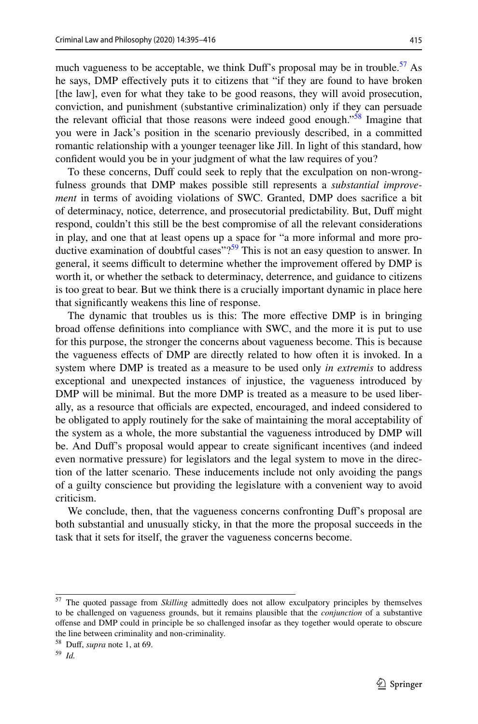much vagueness to be acceptable, we think Duff's proposal may be in trouble.<sup>57</sup> As he says, DMP efectively puts it to citizens that "if they are found to have broken [the law], even for what they take to be good reasons, they will avoid prosecution, conviction, and punishment (substantive criminalization) only if they can persuade the relevant official that those reasons were indeed good enough."<sup>58</sup> Imagine that you were in Jack's position in the scenario previously described, in a committed romantic relationship with a younger teenager like Jill. In light of this standard, how confdent would you be in your judgment of what the law requires of you?

To these concerns, Duff could seek to reply that the exculpation on non-wrongfulness grounds that DMP makes possible still represents a *substantial improvement* in terms of avoiding violations of SWC. Granted, DMP does sacrifce a bit of determinacy, notice, deterrence, and prosecutorial predictability. But, Duf might respond, couldn't this still be the best compromise of all the relevant considerations in play, and one that at least opens up a space for "a more informal and more productive examination of doubtful cases"? $59$  This is not an easy question to answer. In general, it seems difficult to determine whether the improvement offered by DMP is worth it, or whether the setback to determinacy, deterrence, and guidance to citizens is too great to bear. But we think there is a crucially important dynamic in place here that signifcantly weakens this line of response.

The dynamic that troubles us is this: The more efective DMP is in bringing broad ofense defnitions into compliance with SWC, and the more it is put to use for this purpose, the stronger the concerns about vagueness become. This is because the vagueness efects of DMP are directly related to how often it is invoked. In a system where DMP is treated as a measure to be used only *in extremis* to address exceptional and unexpected instances of injustice, the vagueness introduced by DMP will be minimal. But the more DMP is treated as a measure to be used liberally, as a resource that officials are expected, encouraged, and indeed considered to be obligated to apply routinely for the sake of maintaining the moral acceptability of the system as a whole, the more substantial the vagueness introduced by DMP will be. And Duf's proposal would appear to create signifcant incentives (and indeed even normative pressure) for legislators and the legal system to move in the direction of the latter scenario. These inducements include not only avoiding the pangs of a guilty conscience but providing the legislature with a convenient way to avoid criticism.

We conclude, then, that the vagueness concerns confronting Duf's proposal are both substantial and unusually sticky, in that the more the proposal succeeds in the task that it sets for itself, the graver the vagueness concerns become.

<span id="page-20-0"></span><sup>57</sup> The quoted passage from *Skilling* admittedly does not allow exculpatory principles by themselves to be challenged on vagueness grounds, but it remains plausible that the *conjunction* of a substantive ofense and DMP could in principle be so challenged insofar as they together would operate to obscure the line between criminality and non-criminality.

<span id="page-20-1"></span><sup>58</sup> Duf, *supra* note 1, at 69.

<span id="page-20-2"></span><sup>59</sup> *Id.*